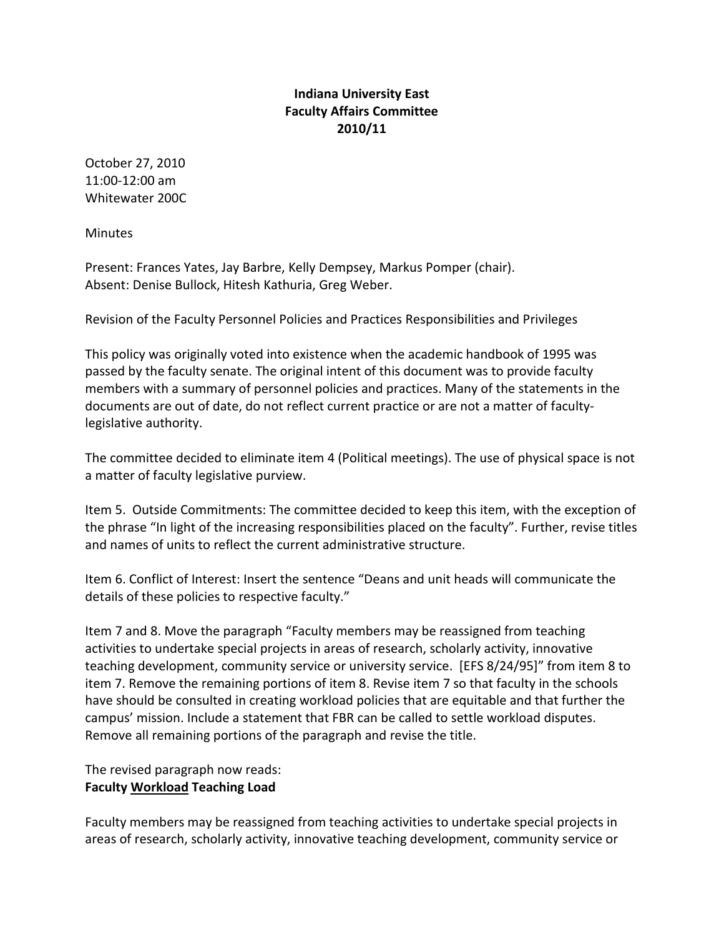## **Indiana University East Faculty Affairs Committee 2010/11**

October 27, 2010 11:00-12:00 am Whitewater 200C

**Minutes** 

Present: Frances Yates, Jay Barbre, Kelly Dempsey, Markus Pomper (chair). Absent: Denise Bullock, Hitesh Kathuria, Greg Weber.

Revision of the Faculty Personnel Policies and Practices Responsibilities and Privileges

This policy was originally voted into existence when the academic handbook of 1995 was passed by the faculty senate. The original intent of this document was to provide faculty members with a summary of personnel policies and practices. Many of the statements in the documents are out of date, do not reflect current practice or are not a matter of facultylegislative authority.

The committee decided to eliminate item 4 (Political meetings). The use of physical space is not a matter of faculty legislative purview.

Item 5. Outside Commitments: The committee decided to keep this item, with the exception of the phrase "In light of the increasing responsibilities placed on the faculty". Further, revise titles and names of units to reflect the current administrative structure.

Item 6. Conflict of Interest: Insert the sentence "Deans and unit heads will communicate the details of these policies to respective faculty."

Item 7 and 8. Move the paragraph "Faculty members may be reassigned from teaching activities to undertake special projects in areas of research, scholarly activity, innovative teaching development, community service or university service. [EFS 8/24/95]" from item 8 to item 7. Remove the remaining portions of item 8. Revise item 7 so that faculty in the schools have should be consulted in creating workload policies that are equitable and that further the campus' mission. Include a statement that FBR can be called to settle workload disputes. Remove all remaining portions of the paragraph and revise the title.

The revised paragraph now reads: **Faculty Workload Teaching Load** 

Faculty members may be reassigned from teaching activities to undertake special projects in areas of research, scholarly activity, innovative teaching development, community service or